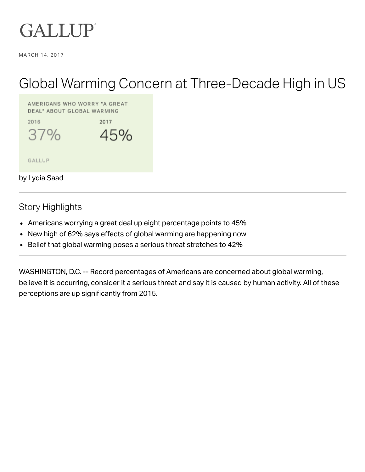

MARCH 14, 2017

# Global Warming Concern at Three-Decade High in US

AMERICANS WHO WORRY "A GREAT DEAL" ABOUT GLOBAL WARMING



GALLUP

by Lydia Saad

**Story Highlights** 

- Americans worrying a great deal up eight percentage points to 45%
- New high of 62% says effects of global warming are happening now
- Belief that global warming poses a serious threat stretches to 42%  $\bullet$

WASHINGTON, D.C. -- Record percentages of Americans are concerned about global warming, believe it is occurring, consider it a serious threat and say it is caused by human activity. All of these perceptions are up significantly from 2015.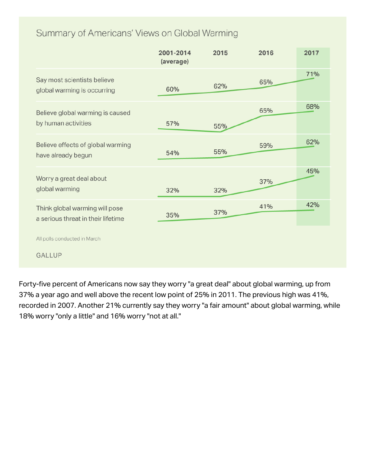# Summary of Americans' Views on Global Warming

|                                                                      | 2001-2014<br>(average) | 2015 | 2016 | 2017 |
|----------------------------------------------------------------------|------------------------|------|------|------|
| Say most scientists believe<br>global warming is occurring           | 60%                    | 62%  | 65%  | 71%  |
| Believe global warming is caused<br>by human activities              | 57%                    | 55%  | 65%  | 68%  |
| Believe effects of global warming<br>have already begun              | 54%                    | 55%  | 59%  | 62%  |
| Worry a great deal about<br>global warming                           | 32%                    | 32%  | 37%  | 45%  |
| Think global warming will pose<br>a serious threat in their lifetime | 35%                    | 37%  | 41%  | 42%  |
| All polls conducted in March<br><b>GALLUP</b>                        |                        |      |      |      |

Forty-five percent of Americans now say they worry "a great deal" about global warming, up from 37% a year ago and well above the recent low point of 25% in 2011. The previous high was 41%, recorded in 2007. Another 21% currently say they worry "a fair amount" about global warming, while 18% worry "only a little" and 16% worry "not at all."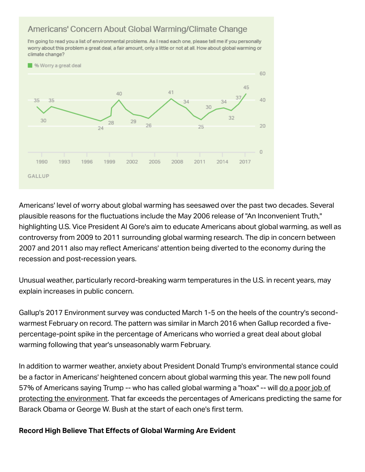# Americans' Concern About Global Warming/Climate Change

I'm going to read you a list of environmental problems. As I read each one, please tell me if you personally worry about this problem a great deal, a fair amount, only a little or not at all. How about global warming or climate change?



Americans' level of worry about global warming has seesawed over the past two decades. Several plausible reasons for the fluctuations include the May 2006 release of "An Inconvenient Truth," highlighting U.S. Vice President Al Gore's aim to educate Americans about global warming, as well as controversy from 2009 to 2011 surrounding global warming research. The dip in concern between 2007 and 2011 also may reflect Americans' attention being diverted to the economy during the recession and post-recession years.

Unusual weather, particularly record-breaking warm temperatures in the U.S. in recent years, may explain increases in public concern.

Gallup's 2017 Environment survey was conducted March 1-5 on the heels of the country's secondwarmest February on record. The pattern was similar in March 2016 when Gallup recorded a fivepercentage-point spike in the percentage of Americans who worried a great deal about global warming following that year's unseasonably warm February.

In addition to warmer weather, anxiety about President Donald Trump's environmental stance could be a factor in Americans' heightened concern about global warming this year. The new poll found 57% of Americans saying Trump -- who has called global warming a "hoax" -- will do a poor job of protecting the environment. That far exceeds the percentages of Americans predicting the same for Barack Obama or George W. Bush at the start of each one's first term.

## **Record High Believe That Effects of Global Warming Are Evident**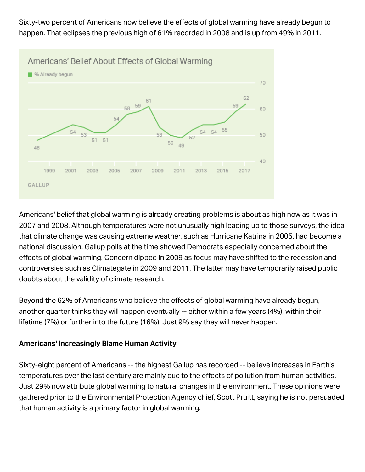Sixty-two percent of Americans now believe the effects of global warming have already begun to happen. That eclipses the previous high of 61% recorded in 2008 and is up from 49% in 2011.



Americans' belief that global warming is already creating problems is about as high now as it was in 2007 and 2008. Although temperatures were not unusually high leading up to those surveys, the idea that climate change was causing extreme weather, such as Hurricane Katrina in 2005, had become a national discussion. Gallup polls at the time showed Democrats especially concerned about the effects of global warming. Concern dipped in 2009 as focus may have shifted to the recession and controversies such as Climategate in 2009 and 2011. The latter may have temporarily raised public doubts about the validity of climate research.

Beyond the 62% of Americans who believe the effects of global warming have already begun, another quarter thinks they will happen eventually -- either within a few years (4%), within their lifetime (7%) or further into the future (16%). Just 9% say they will never happen.

## **Americans' Increasingly Blame Human Activity**

Sixty-eight percent of Americans -- the highest Gallup has recorded -- believe increases in Earth's temperatures over the last century are mainly due to the effects of pollution from human activities. Just 29% now attribute global warming to natural changes in the environment. These opinions were gathered prior to the Environmental Protection Agency chief, Scott Pruitt, saying he is not persuaded that human activity is a primary factor in global warming.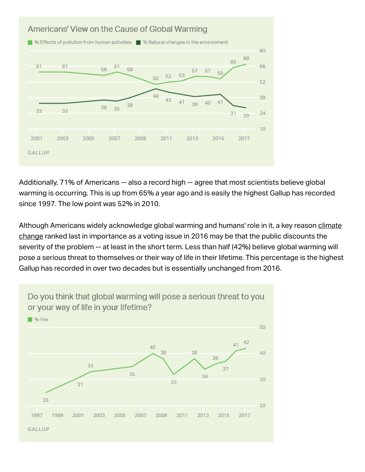

Additionally, 71% of Americans -- also a record high -- agree that most scientists believe global warming is occurring. This is up from 65% a year ago and is easily the highest Gallup has recorded since 1997. The low point was 52% in 2010.

Although Americans widely acknowledge global warming and humans' role in it, a key reason climate change ranked last in importance as a voting issue in 2016 may be that the public discounts the severity of the problem -- at least in the short term. Less than half (42%) believe global warming will pose a serious threat to themselves or their way of life in their lifetime. This percentage is the highest Gallup has recorded in over two decades but is essentially unchanged from 2016.

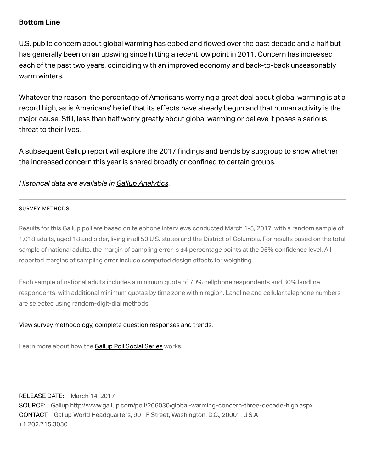## **Bottom Line**

U.S. public concern about global warming has ebbed and flowed over the past decade and a half but has generally been on an upswing since hitting a recent low point in 2011. Concern has increased each of the past two years, coinciding with an improved economy and back-to-back unseasonably warm winters.

Whatever the reason, the percentage of Americans worrying a great deal about global warming is at a record high, as is Americans' belief that its effects have already begun and that human activity is the major cause. Still, less than half worry greatly about global warming or believe it poses a serious threat to their lives.

A subsequent Gallup report will explore the 2017 findings and trends by subgroup to show whether the increased concern this year is shared broadly or confined to certain groups.

#### Historical data are available in Gallup Analytics.

#### **SURVEY METHODS**

Results for this Gallup poll are based on telephone interviews conducted March 1-5, 2017, with a random sample of 1,018 adults, aged 18 and older, living in all 50 U.S. states and the District of Columbia. For results based on the total sample of national adults, the margin of sampling error is ±4 percentage points at the 95% confidence level. All reported margins of sampling error include computed design effects for weighting.

Each sample of national adults includes a minimum quota of 70% cellphone respondents and 30% landline respondents, with additional minimum quotas by time zone within region. Landline and cellular telephone numbers are selected using random-digit-dial methods.

#### View survey methodology, complete question responses and trends.

Learn more about how the Gallup Poll Social Series works.

RELEASE DATE: March 14, 2017

SOURCE: Gallup http://www.gallup.com/poll/206030/global-warming-concern-three-decade-high.aspx CONTACT: Gallup World Headquarters, 901 F Street, Washington, D.C., 20001, U.S.A +1 202.715.3030